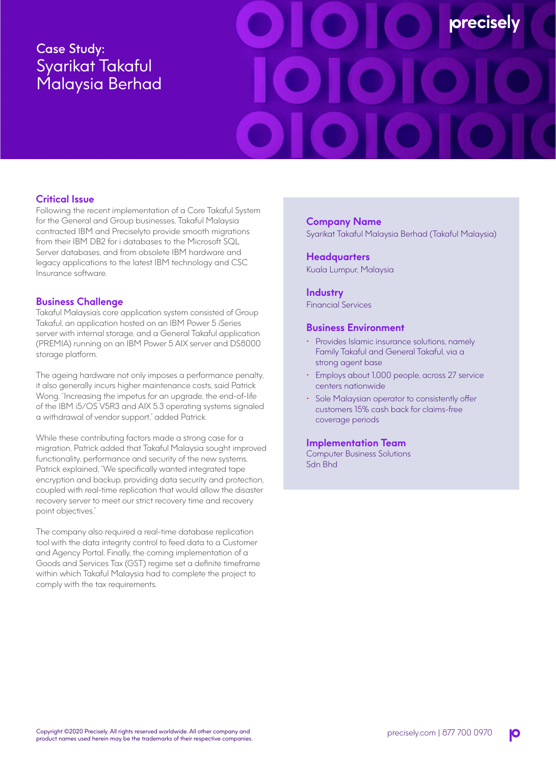# Case Study: Syarikat Takaful Malaysia Berhad



# **Critical Issue**

Following the recent implementation of a Core Takaful System for the General and Group businesses, Takaful Malaysia contracted IBM and Preciselyto provide smooth migrations from their IBM DB2 for i databases to the Microsoft SQL Server databases, and from obsolete IBM hardware and legacy applications to the latest IBM technology and CSC Insurance software.

## **Business Challenge**

Takaful Malaysia's core application system consisted of Group Takaful, an application hosted on an IBM Power 5 iSeries server with internal storage, and a General Takaful application (PREMIA) running on an IBM Power 5 AIX server and DS8000 storage platform.

The ageing hardware not only imposes a performance penalty, it also generally incurs higher maintenance costs, said Patrick Wong. "Increasing the impetus for an upgrade, the end-of-life of the IBM i5/OS V5R3 and AIX 5.3 operating systems signaled a withdrawal of vendor support," added Patrick.

While these contributing factors made a strong case for a migration, Patrick added that Takaful Malaysia sought improved functionality, performance and security of the new systems. Patrick explained, "We specifically wanted integrated tape encryption and backup, providing data security and protection, coupled with real-time replication that would allow the disaster recovery server to meet our strict recovery time and recovery point objectives."

The company also required a real-time database replication tool with the data integrity control to feed data to a Customer and Agency Portal. Finally, the coming implementation of a Goods and Services Tax (GST) regime set a definite timeframe within which Takaful Malaysia had to complete the project to comply with the tax requirements.

# **Company Name**

Syarikat Takaful Malaysia Berhad (Takaful Malaysia)

**Headquarters** Kuala Lumpur, Malaysia

#### **Industry**

Financial Services

#### **Business Environment**

- Provides Islamic insurance solutions, namely Family Takaful and General Takaful, via a strong agent base
- Employs about 1,000 people, across 27 service centers nationwide
- Sole Malaysian operator to consistently offer customers 15% cash back for claims-free coverage periods

#### **Implementation Team**

Computer Business Solutions Sdn Bhd